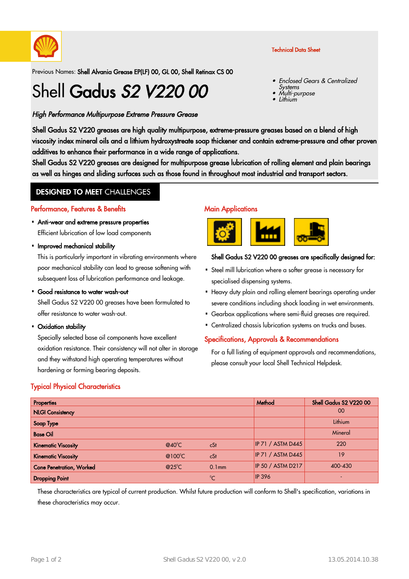

#### Technical Data Sheet

Previous Names: Shell Alvania Grease EP(LF) 00, GL 00, Shell Retinax CS 00

# Shell Gadus S2 V220 00

#### High Performance Multipurpose Extreme Pressure Grease

- Enclosed Gears & Centralized Systems •
- • Multi-purpose •Lithium

Shell Gadus S2 V220 greases are high quality multipurpose, extreme-pressure greases based on a blend of high viscosity index mineral oils and a lithium hydroxystreate soap thickener and contain extreme-pressure and other proven additives to enhance their performance in a wide range of applications.

Shell Gadus S2 V220 greases are designed for multipurpose grease lubrication of rolling element and plain bearings as well as hinges and sliding surfaces such as those found in throughout most industrial and transport sectors.

## **DESIGNED TO MEET CHALLENGES**

#### Performance, Features & Benefits

- Anti-wear and extreme pressure properties Efficient lubrication of low load components
- Improved mechanical stability

This is particularly important in vibrating environments where poor mechanical stability can lead to grease softening with subsequent loss of lubrication performance and leakage.

• Good resistance to water wash-out

Shell Gadus S2 V220 00 greases have been formulated to offer resistance to water wash-out.

Oxidation stability ·

Specially selected base oil components have excellent oxidation resistance. Their consistency will not alter in storage and they withstand high operating temperatures without hardening or forming bearing deposits.

#### **Main Applications**



#### Shell Gadus S2 V220 00 greases are specifically designed for:

- Steel mill lubrication where a softer grease is necessary for · specialised dispensing systems.
- Heavy duty plain and rolling element bearings operating under severe conditions including shock loading in wet environments.
- Gearbox applications where semi-fluid greases are required. ·
- Centralized chassis lubrication systems on trucks and buses. ·

#### Specifications, Approvals & Recommendations

For a full listing of equipment approvals and recommendations, please consult your local Shell Technical Helpdesk.

#### Typical Physical Characteristics

| Properties                      |                 |                   | Method                   | Shell Gadus S2 V220 00 |
|---------------------------------|-----------------|-------------------|--------------------------|------------------------|
| <b>NLGI Consistency</b>         |                 |                   |                          | 00                     |
| Soap Type                       |                 |                   |                          | Lithium                |
| <b>Base Oil</b>                 |                 |                   |                          | Mineral                |
| <b>Kinematic Viscosity</b>      | $@40^{\circ}$ C | cSt               | <b>IP 71 / ASTM D445</b> | 220                    |
| <b>Kinematic Viscosity</b>      | @100°C          | cSt               | <b>IP 71 / ASTM D445</b> | 19                     |
| <b>Cone Penetration, Worked</b> | $@25^{\circ}$ C | 0.1 <sub>mm</sub> | IP 50 / ASTM D217        | 400-430                |
| <b>Dropping Point</b>           |                 | $\rm ^{0}C$       | <b>IP 396</b>            |                        |

These characteristics are typical of current production. Whilst future production will conform to Shell's specification, variations in these characteristics may occur.